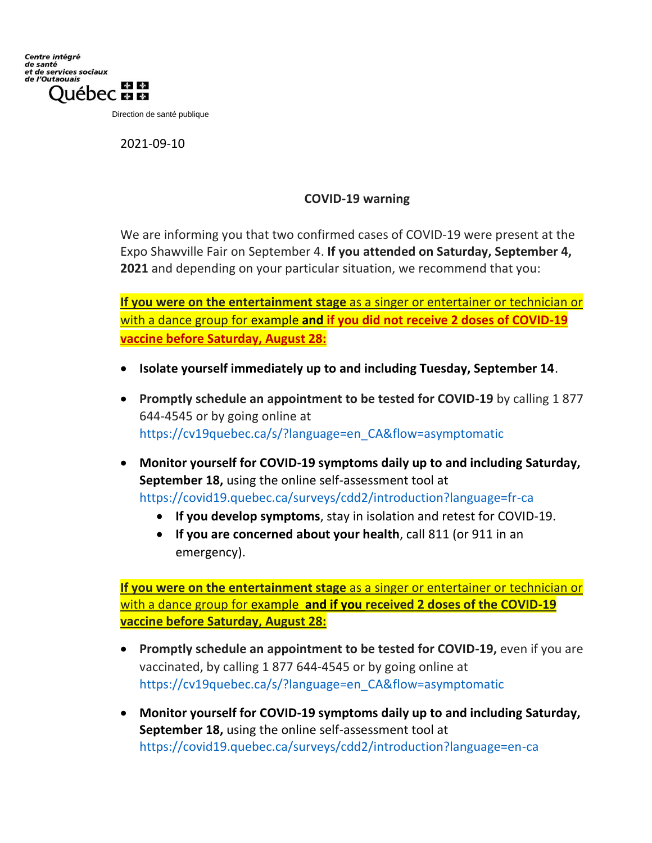Direction de santé publique

2021-09-10

## **COVID-19 warning**

We are informing you that two confirmed cases of COVID-19 were present at the Expo Shawville Fair on September 4. **If you attended on Saturday, September 4, 2021** and depending on your particular situation, we recommend that you:

**If you were on the entertainment stage** as a singer or entertainer or technician or with a dance group for example **and if you did not receive 2 doses of COVID-19 vaccine before Saturday, August 28:**

- **Isolate yourself immediately up to and including Tuesday, September 14**.
- **Promptly schedule an appointment to be tested for COVID-19** by calling 1 877 644-4545 or by going online at [https://cv19quebec.ca/s/?language=en\\_CA&flow=asymptomatic](https://cv19quebec.ca/s/?language=en_CA&flow=asymptomatic)
- **Monitor yourself for COVID-19 symptoms daily up to and including Saturday, September 18,** using the online self-assessment tool at [https://covid19.quebec.ca/surveys/cdd2/introduction?language=fr](https://covid19.quebec.ca/surveys/cdd2/introduction?language=en-ca)[-ca](https://covid19.quebec.ca/surveys/cdd2/introduction?language=fr-ca)
	- **If you develop symptoms**, stay in isolation and retest for COVID-19.
	- **If you are concerned about your health**, call 811 (or 911 in an emergency).

**If you were on the entertainment stage** as a singer or entertainer or technician or with a dance group for example **and if you received 2 doses of the COVID-19 vaccine before Saturday, August 28:**

- **Promptly schedule an appointment to be tested for COVID-19, even if you are** vaccinated, by calling 1 877 644-4545 or by going online at [https://cv19quebec.ca/s/?language=en\\_CA&flow=asymptomatic](https://cv19quebec.ca/s/?language=en_CA&flow=asymptomatic)
- **Monitor yourself for COVID-19 symptoms daily up to and including Saturday, September 18,** using the online self-assessment tool at <https://covid19.quebec.ca/surveys/cdd2/introduction?language=en-ca>